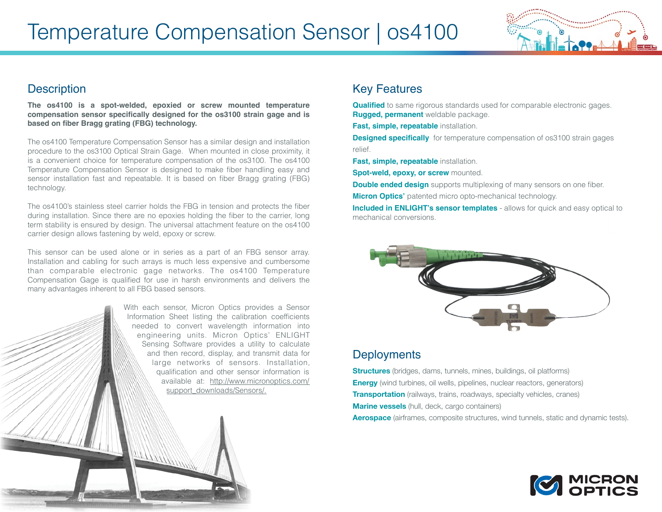

## **Description**

**The os4100 is a spot-welded, epoxied or screw mounted temperature compensation sensor specifically designed for the os3100 strain gage and is based on fiber Bragg grating (FBG) technology.**

The os4100 Temperature Compensation Sensor has a similar design and installation procedure to the os3100 Optical Strain Gage. When mounted in close proximity, it is a convenient choice for temperature compensation of the os3100. The os4100 Temperature Compensation Sensor is designed to make fiber handling easy and sensor installation fast and repeatable. It is based on fiber Bragg grating (FBG) technology.

The os4100's stainless steel carrier holds the FBG in tension and protects the fiber during installation. Since there are no epoxies holding the fiber to the carrier, long term stability is ensured by design. The universal attachment feature on the os4100 carrier design allows fastening by weld, epoxy or screw.

This sensor can be used alone or in series as a part of an FBG sensor array. Installation and cabling for such arrays is much less expensive and cumbersome than comparable electronic gage networks. The os4100 Temperature Compensation Gage is qualified for use in harsh environments and delivers the many advantages inherent to all FBG based sensors.

> With each sensor, Micron Optics provides a Sensor Information Sheet listing the calibration coefficients needed to convert wavelength information into engineering units. Micron Optics' ENLIGHT Sensing Software provides a utility to calculate and then record, display, and transmit data for large networks of sensors. Installation, qualification and other sensor information is available at: [http://www.micronoptics.com/](http://www.micronoptics.com/support_downloads/Sensors/) support\_downloads/Sensors/.

## Key Features

**Qualified** to same rigorous standards used for comparable electronic gages. **Rugged, permanent** weldable package.

**Fast, simple, repeatable** installation.

**Designed specifically** for temperature compensation of os3100 strain gages relief.

**Fast, simple, repeatable** installation.

**Spot-weld, epoxy, or screw mounted.** 

**Double ended design** supports multiplexing of many sensors on one fiber.

**Micron Optics'** patented micro opto-mechanical technology.

**Included in ENLIGHT's sensor templates** - allows for quick and easy optical to mechanical conversions.



## **Deployments**

**Structures** (bridges, dams, tunnels, mines, buildings, oil platforms) **Energy** (wind turbines, oil wells, pipelines, nuclear reactors, generators) **Transportation** (railways, trains, roadways, specialty vehicles, cranes) **Marine vessels** (hull, deck, cargo containers) **Aerospace** (airframes, composite structures, wind tunnels, static and dynamic tests).